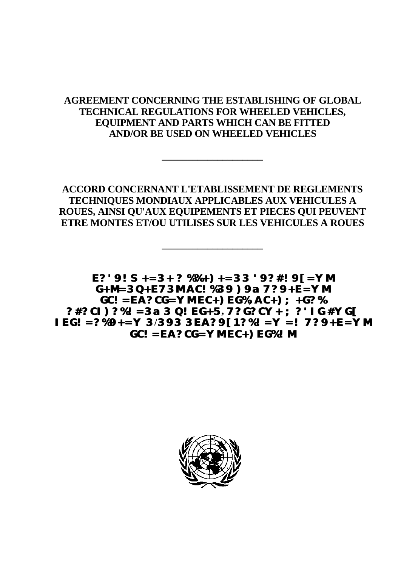## **AGREEMENT CONCERNING THE ESTABLISHING OF GLOBAL TECHNICAL REGULATIONS FOR WHEELED VEHICLES, EQUIPMENT AND PARTS WHICH CAN BE FITTED AND/OR BE USED ON WHEELED VEHICLES**

**\_\_\_\_\_\_\_\_\_\_\_\_\_\_\_\_\_\_\_\_**

**ACCORD CONCERNANT L'ETABLISSEMENT DE REGLEMENTS TECHNIQUES MONDIAUX APPLICABLES AUX VEHICULES A ROUES, AINSI QU'AUX EQUIPEMENTS ET PIECES QUI PEUVENT ETRE MONTES ET/OU UTILISES SUR LES VEHICULES A ROUES**

**\_\_\_\_\_\_\_\_\_\_\_\_\_\_\_\_\_\_\_\_**

**E?'9!S+=3+ ? %%+)+=33 '9?#!9[=YM G+M=3Q+E73M AC!%39 )9a 7?9+E=YM GC!=EA?CG=YM EC+)EG%, AC+);+G?% ?#?CI)?%!=3a 3 Q!EG+5, 7?G?CY+ ;?'IG #YG[ IEG!=?%9+=Y 3/393 3EA?9[1?%!=Y =! 7?9+E=YM GC!=EA?CG=YM EC+)EG%!M**

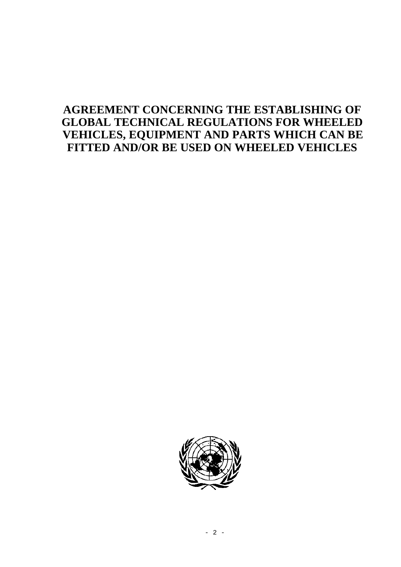# **AGREEMENT CONCERNING THE ESTABLISHING OF GLOBAL TECHNICAL REGULATIONS FOR WHEELED VEHICLES, EQUIPMENT AND PARTS WHICH CAN BE FITTED AND/OR BE USED ON WHEELED VEHICLES**

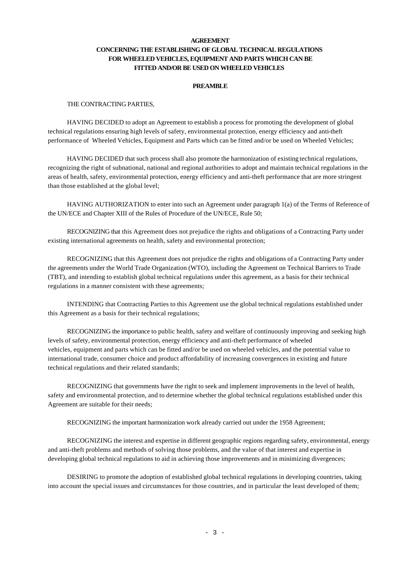## **AGREEMENT CONCERNING THE ESTABLISHING OF GLOBAL TECHNICAL REGULATIONS FOR WHEELED VEHICLES, EQUIPMENT AND PARTS WHICH CAN BE FITTED AND/OR BE USED ON WHEELED VEHICLES**

## **PREAMBLE**

#### THE CONTRACTING PARTIES,

HAVING DECIDED to adopt an Agreement to establish a process for promoting the development of global technical regulations ensuring high levels of safety, environmental protection, energy efficiency and anti-theft performance of Wheeled Vehicles, Equipment and Parts which can be fitted and/or be used on Wheeled Vehicles;

HAVING DECIDED that such process shall also promote the harmonization of existing technical regulations, recognizing the right of subnational, national and regional authorities to adopt and maintain technical regulations in the areas of health, safety, environmental protection, energy efficiency and anti-theft performance that are more stringent than those established at the global level;

HAVING AUTHORIZATION to enter into such an Agreement under paragraph 1(a) of the Terms of Reference of the UN/ECE and Chapter XIII of the Rules of Procedure of the UN/ECE, Rule 50;

RECOGNIZING that this Agreement does not prejudice the rights and obligations of a Contracting Party under existing international agreements on health, safety and environmental protection;

RECOGNIZING that this Agreement does not prejudice the rights and obligations of a Contracting Party under the agreements under the World Trade Organization (WTO), including the Agreement on Technical Barriers to Trade (TBT), and intending to establish global technical regulations under this agreement, as a basis for their technical regulations in a manner consistent with these agreements;

INTENDING that Contracting Parties to this Agreement use the global technical regulations established under this Agreement as a basis for their technical regulations;

RECOGNIZING the importance to public health, safety and welfare of continuously improving and seeking high levels of safety, environmental protection, energy efficiency and anti-theft performance of wheeled vehicles, equipment and parts which can be fitted and/or be used on wheeled vehicles, and the potential value to international trade, consumer choice and product affordability of increasing convergences in existing and future technical regulations and their related standards;

RECOGNIZING that governments have the right to seek and implement improvements in the level of health, safety and environmental protection, and to determine whether the global technical regulations established under this Agreement are suitable for their needs;

RECOGNIZING the important harmonization work already carried out under the 1958 Agreement;

RECOGNIZING the interest and expertise in different geographic regions regarding safety, environmental, energy and anti-theft problems and methods of solving those problems, and the value of that interest and expertise in developing global technical regulations to aid in achieving those improvements and in minimizing divergences;

DESIRING to promote the adoption of established global technical regulations in developing countries, taking into account the special issues and circumstances for those countries, and in particular the least developed of them;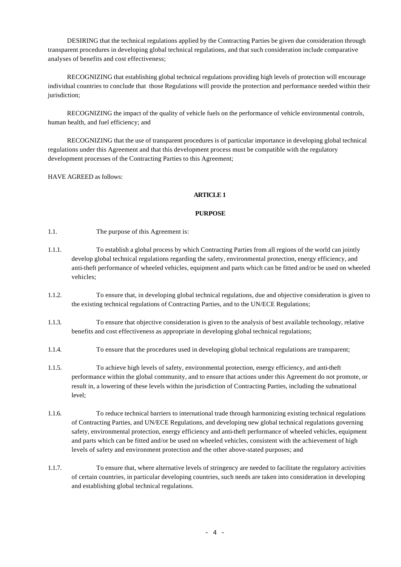DESIRING that the technical regulations applied by the Contracting Parties be given due consideration through transparent procedures in developing global technical regulations, and that such consideration include comparative analyses of benefits and cost effectiveness;

RECOGNIZING that establishing global technical regulations providing high levels of protection will encourage individual countries to conclude that those Regulations will provide the protection and performance needed within their jurisdiction;

RECOGNIZING the impact of the quality of vehicle fuels on the performance of vehicle environmental controls, human health, and fuel efficiency; and

RECOGNIZING that the use of transparent procedures is of particular importance in developing global technical regulations under this Agreement and that this development process must be compatible with the regulatory development processes of the Contracting Parties to this Agreement;

HAVE AGREED as follows:

## **ARTICLE 1**

#### **PURPOSE**

1.1. The purpose of this Agreement is:

- 1.1.1. To establish a global process by which Contracting Parties from all regions of the world can jointly develop global technical regulations regarding the safety, environmental protection, energy efficiency, and anti-theft performance of wheeled vehicles, equipment and parts which can be fitted and/or be used on wheeled vehicles;
- 1.1.2. To ensure that, in developing global technical regulations, due and objective consideration is given to the existing technical regulations of Contracting Parties, and to the UN/ECE Regulations;
- 1.1.3. To ensure that objective consideration is given to the analysis of best available technology, relative benefits and cost effectiveness as appropriate in developing global technical regulations;
- 1.1.4. To ensure that the procedures used in developing global technical regulations are transparent;
- 1.1.5. To achieve high levels of safety, environmental protection, energy efficiency, and anti-theft performance within the global community, and to ensure that actions under this Agreement do not promote, or result in, a lowering of these levels within the jurisdiction of Contracting Parties, including the subnational level;
- 1.1.6. To reduce technical barriers to international trade through harmonizing existing technical regulations of Contracting Parties, and UN/ECE Regulations, and developing new global technical regulations governing safety, environmental protection, energy efficiency and anti-theft performance of wheeled vehicles, equipment and parts which can be fitted and/or be used on wheeled vehicles, consistent with the achievement of high levels of safety and environment protection and the other above-stated purposes; and
- 1.1.7. To ensure that, where alternative levels of stringency are needed to facilitate the regulatory activities of certain countries, in particular developing countries, such needs are taken into consideration in developing and establishing global technical regulations.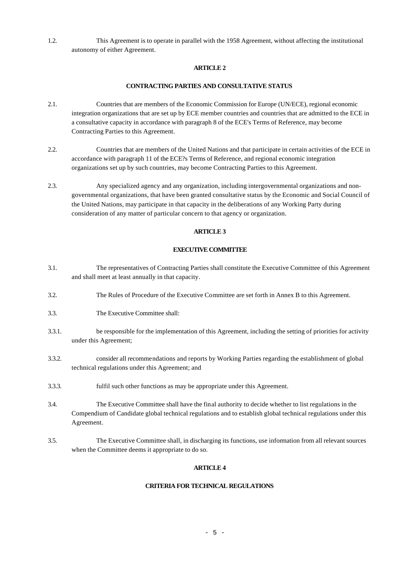1.2. This Agreement is to operate in parallel with the 1958 Agreement, without affecting the institutional autonomy of either Agreement.

## **ARTICLE 2**

## **CONTRACTING PARTIES AND CONSULTATIVE STATUS**

- 2.1. Countries that are members of the Economic Commission for Europe (UN/ECE), regional economic integration organizations that are set up by ECE member countries and countries that are admitted to the ECE in a consultative capacity in accordance with paragraph 8 of the ECE's Terms of Reference, may become Contracting Parties to this Agreement.
- 2.2. Countries that are members of the United Nations and that participate in certain activities of the ECE in accordance with paragraph 11 of the ECE?s Terms of Reference, and regional economic integration organizations set up by such countries, may become Contracting Parties to this Agreement.
- 2.3. Any specialized agency and any organization, including intergovernmental organizations and nongovernmental organizations, that have been granted consultative status by the Economic and Social Council of the United Nations, may participate in that capacity in the deliberations of any Working Party during consideration of any matter of particular concern to that agency or organization.

## **ARTICLE 3**

#### **EXECUTIVE COMMITTEE**

- 3.1. The representatives of Contracting Parties shall constitute the Executive Committee of this Agreement and shall meet at least annually in that capacity.
- 3.2. The Rules of Procedure of the Executive Committee are set forth in Annex B to this Agreement.
- 3.3. The Executive Committee shall:
- 3.3.1. be responsible for the implementation of this Agreement, including the setting of priorities for activity under this Agreement;
- 3.3.2. consider all recommendations and reports by Working Parties regarding the establishment of global technical regulations under this Agreement; and
- 3.3.3. fulfil such other functions as may be appropriate under this Agreement.
- 3.4. The Executive Committee shall have the final authority to decide whether to list regulations in the Compendium of Candidate global technical regulations and to establish global technical regulations under this Agreement.
- 3.5. The Executive Committee shall, in discharging its functions, use information from all relevant sources when the Committee deems it appropriate to do so.

## **ARTICLE 4**

## **CRITERIA FOR TECHNICAL REGULATIONS**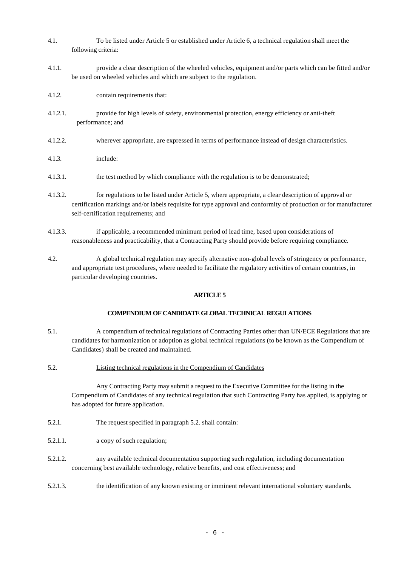- 4.1. To be listed under Article 5 or established under Article 6, a technical regulation shall meet the following criteria:
- 4.1.1. provide a clear description of the wheeled vehicles, equipment and/or parts which can be fitted and/or be used on wheeled vehicles and which are subject to the regulation.
- 4.1.2. contain requirements that:
- 4.1.2.1. provide for high levels of safety, environmental protection, energy efficiency or anti-theft performance; and
- 4.1.2.2. wherever appropriate, are expressed in terms of performance instead of design characteristics.
- 4.1.3. include:
- 4.1.3.1. the test method by which compliance with the regulation is to be demonstrated;
- 4.1.3.2. for regulations to be listed under Article 5, where appropriate, a clear description of approval or certification markings and/or labels requisite for type approval and conformity of production or for manufacturer self-certification requirements; and
- 4.1.3.3. if applicable, a recommended minimum period of lead time, based upon considerations of reasonableness and practicability, that a Contracting Party should provide before requiring compliance.
- 4.2. A global technical regulation may specify alternative non-global levels of stringency or performance, and appropriate test procedures, where needed to facilitate the regulatory activities of certain countries, in particular developing countries.

#### **COMPENDIUM OF CANDIDATE GLOBAL TECHNICAL REGULATIONS**

- 5.1. A compendium of technical regulations of Contracting Parties other than UN/ECE Regulations that are candidates for harmonization or adoption as global technical regulations (to be known as the Compendium of Candidates) shall be created and maintained.
- 5.2. Listing technical regulations in the Compendium of Candidates

Any Contracting Party may submit a request to the Executive Committee for the listing in the Compendium of Candidates of any technical regulation that such Contracting Party has applied, is applying or has adopted for future application.

- 5.2.1. The request specified in paragraph 5.2. shall contain:
- 5.2.1.1. a copy of such regulation;
- 5.2.1.2. any available technical documentation supporting such regulation, including documentation concerning best available technology, relative benefits, and cost effectiveness; and
- 5.2.1.3. the identification of any known existing or imminent relevant international voluntary standards.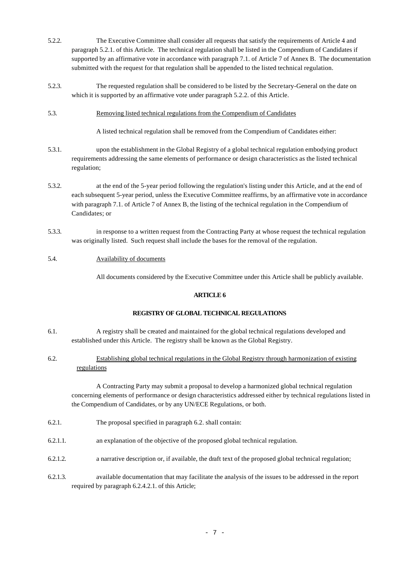- 5.2.2. The Executive Committee shall consider all requests that satisfy the requirements of Article 4 and paragraph 5.2.1. of this Article. The technical regulation shall be listed in the Compendium of Candidates if supported by an affirmative vote in accordance with paragraph 7.1. of Article 7 of Annex B. The documentation submitted with the request for that regulation shall be appended to the listed technical regulation.
- 5.2.3. The requested regulation shall be considered to be listed by the Secretary-General on the date on which it is supported by an affirmative vote under paragraph 5.2.2. of this Article.
- 5.3. Removing listed technical regulations from the Compendium of Candidates

A listed technical regulation shall be removed from the Compendium of Candidates either:

- 5.3.1. upon the establishment in the Global Registry of a global technical regulation embodying product requirements addressing the same elements of performance or design characteristics as the listed technical regulation;
- 5.3.2. at the end of the 5-year period following the regulation's listing under this Article, and at the end of each subsequent 5-year period, unless the Executive Committee reaffirms, by an affirmative vote in accordance with paragraph 7.1. of Article 7 of Annex B, the listing of the technical regulation in the Compendium of Candidates; or
- 5.3.3. in response to a written request from the Contracting Party at whose request the technical regulation was originally listed. Such request shall include the bases for the removal of the regulation.

## 5.4. Availability of documents

All documents considered by the Executive Committee under this Article shall be publicly available.

## **ARTICLE 6**

## **REGISTRY OF GLOBAL TECHNICAL REGULATIONS**

- 6.1. A registry shall be created and maintained for the global technical regulations developed and established under this Article. The registry shall be known as the Global Registry.
- 6.2. Establishing global technical regulations in the Global Registry through harmonization of existing regulations

A Contracting Party may submit a proposal to develop a harmonized global technical regulation concerning elements of performance or design characteristics addressed either by technical regulations listed in the Compendium of Candidates, or by any UN/ECE Regulations, or both.

- 6.2.1. The proposal specified in paragraph 6.2. shall contain:
- 6.2.1.1. an explanation of the objective of the proposed global technical regulation.
- 6.2.1.2. a narrative description or, if available, the draft text of the proposed global technical regulation;
- 6.2.1.3. available documentation that may facilitate the analysis of the issues to be addressed in the report required by paragraph 6.2.4.2.1. of this Article;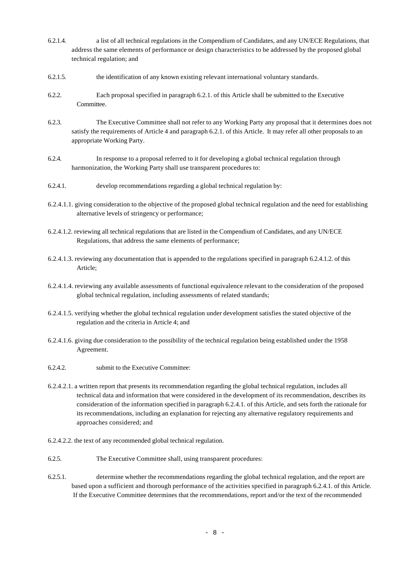- 6.2.1.4. a list of all technical regulations in the Compendium of Candidates, and any UN/ECE Regulations, that address the same elements of performance or design characteristics to be addressed by the proposed global technical regulation; and
- 6.2.1.5. the identification of any known existing relevant international voluntary standards.
- 6.2.2. Each proposal specified in paragraph 6.2.1. of this Article shall be submitted to the Executive Committee.
- 6.2.3. The Executive Committee shall not refer to any Working Party any proposal that it determines does not satisfy the requirements of Article 4 and paragraph 6.2.1. of this Article. It may refer all other proposals to an appropriate Working Party.
- 6.2.4. In response to a proposal referred to it for developing a global technical regulation through harmonization, the Working Party shall use transparent procedures to:
- 6.2.4.1. develop recommendations regarding a global technical regulation by:
- 6.2.4.1.1. giving consideration to the objective of the proposed global technical regulation and the need for establishing alternative levels of stringency or performance;
- 6.2.4.1.2. reviewing all technical regulations that are listed in the Compendium of Candidates, and any UN/ECE Regulations, that address the same elements of performance;
- 6.2.4.1.3. reviewing any documentation that is appended to the regulations specified in paragraph 6.2.4.1.2. of this Article;
- 6.2.4.1.4. reviewing any available assessments of functional equivalence relevant to the consideration of the proposed global technical regulation, including assessments of related standards;
- 6.2.4.1.5. verifying whether the global technical regulation under development satisfies the stated objective of the regulation and the criteria in Article 4; and
- 6.2.4.1.6. giving due consideration to the possibility of the technical regulation being established under the 1958 Agreement.
- 6.2.4.2. submit to the Executive Committee:
- 6.2.4.2.1. a written report that presents its recommendation regarding the global technical regulation, includes all technical data and information that were considered in the development of its recommendation, describes its consideration of the information specified in paragraph 6.2.4.1. of this Article, and sets forth the rationale for its recommendations, including an explanation for rejecting any alternative regulatory requirements and approaches considered; and
- 6.2.4.2.2. the text of any recommended global technical regulation.
- 6.2.5. The Executive Committee shall, using transparent procedures:
- 6.2.5.1. determine whether the recommendations regarding the global technical regulation, and the report are based upon a sufficient and thorough performance of the activities specified in paragraph 6.2.4.1. of this Article. If the Executive Committee determines that the recommendations, report and/or the text of the recommended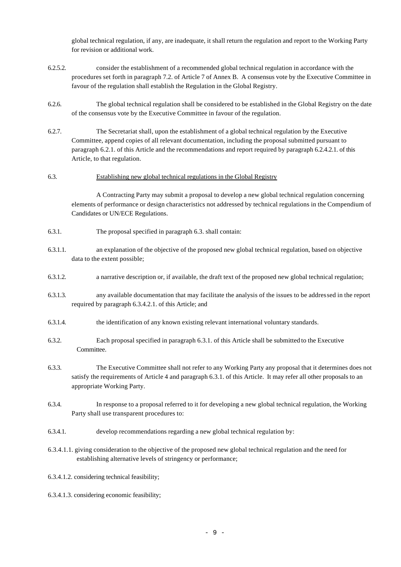global technical regulation, if any, are inadequate, it shall return the regulation and report to the Working Party for revision or additional work.

- 6.2.5.2. consider the establishment of a recommended global technical regulation in accordance with the procedures set forth in paragraph 7.2. of Article 7 of Annex B. A consensus vote by the Executive Committee in favour of the regulation shall establish the Regulation in the Global Registry.
- 6.2.6. The global technical regulation shall be considered to be established in the Global Registry on the date of the consensus vote by the Executive Committee in favour of the regulation.
- 6.2.7. The Secretariat shall, upon the establishment of a global technical regulation by the Executive Committee, append copies of all relevant documentation, including the proposal submitted pursuant to paragraph 6.2.1. of this Article and the recommendations and report required by paragraph 6.2.4.2.1. of this Article, to that regulation.

#### 6.3. Establishing new global technical regulations in the Global Registry

A Contracting Party may submit a proposal to develop a new global technical regulation concerning elements of performance or design characteristics not addressed by technical regulations in the Compendium of Candidates or UN/ECE Regulations.

- 6.3.1. The proposal specified in paragraph 6.3. shall contain:
- 6.3.1.1. an explanation of the objective of the proposed new global technical regulation, based on objective data to the extent possible;
- 6.3.1.2. a narrative description or, if available, the draft text of the proposed new global technical regulation;
- 6.3.1.3. any available documentation that may facilitate the analysis of the issues to be addressed in the report required by paragraph 6.3.4.2.1. of this Article; and
- 6.3.1.4. the identification of any known existing relevant international voluntary standards.
- 6.3.2. Each proposal specified in paragraph 6.3.1. of this Article shall be submitted to the Executive Committee.
- 6.3.3. The Executive Committee shall not refer to any Working Party any proposal that it determines does not satisfy the requirements of Article 4 and paragraph 6.3.1. of this Article. It may refer all other proposals to an appropriate Working Party.
- 6.3.4. In response to a proposal referred to it for developing a new global technical regulation, the Working Party shall use transparent procedures to:
- 6.3.4.1. develop recommendations regarding a new global technical regulation by:
- 6.3.4.1.1. giving consideration to the objective of the proposed new global technical regulation and the need for establishing alternative levels of stringency or performance;
- 6.3.4.1.2. considering technical feasibility;
- 6.3.4.1.3. considering economic feasibility;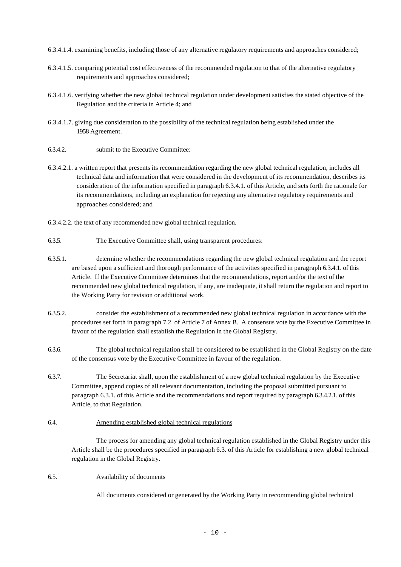6.3.4.1.4. examining benefits, including those of any alternative regulatory requirements and approaches considered;

- 6.3.4.1.5. comparing potential cost effectiveness of the recommended regulation to that of the alternative regulatory requirements and approaches considered;
- 6.3.4.1.6. verifying whether the new global technical regulation under development satisfies the stated objective of the Regulation and the criteria in Article 4; and
- 6.3.4.1.7. giving due consideration to the possibility of the technical regulation being established under the 1958 Agreement.
- 6.3.4.2. submit to the Executive Committee:
- 6.3.4.2.1. a written report that presents its recommendation regarding the new global technical regulation, includes all technical data and information that were considered in the development of its recommendation, describes its consideration of the information specified in paragraph 6.3.4.1. of this Article, and sets forth the rationale for its recommendations, including an explanation for rejecting any alternative regulatory requirements and approaches considered; and
- 6.3.4.2.2. the text of any recommended new global technical regulation.
- 6.3.5. The Executive Committee shall, using transparent procedures:
- 6.3.5.1. determine whether the recommendations regarding the new global technical regulation and the report are based upon a sufficient and thorough performance of the activities specified in paragraph 6.3.4.1. of this Article. If the Executive Committee determines that the recommendations, report and/or the text of the recommended new global technical regulation, if any, are inadequate, it shall return the regulation and report to the Working Party for revision or additional work.
- 6.3.5.2. consider the establishment of a recommended new global technical regulation in accordance with the procedures set forth in paragraph 7.2. of Article 7 of Annex B. A consensus vote by the Executive Committee in favour of the regulation shall establish the Regulation in the Global Registry.
- 6.3.6. The global technical regulation shall be considered to be established in the Global Registry on the date of the consensus vote by the Executive Committee in favour of the regulation.
- 6.3.7. The Secretariat shall, upon the establishment of a new global technical regulation by the Executive Committee, append copies of all relevant documentation, including the proposal submitted pursuant to paragraph 6.3.1. of this Article and the recommendations and report required by paragraph 6.3.4.2.1. of this Article, to that Regulation.

## 6.4. Amending established global technical regulations

The process for amending any global technical regulation established in the Global Registry under this Article shall be the procedures specified in paragraph 6.3. of this Article for establishing a new global technical regulation in the Global Registry.

#### 6.5. Availability of documents

All documents considered or generated by the Working Party in recommending global technical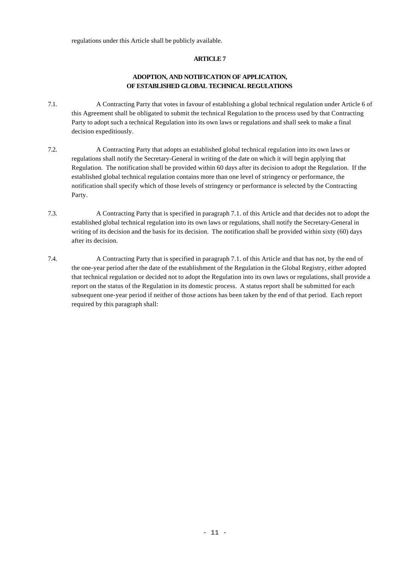regulations under this Article shall be publicly available.

## **ARTICLE 7**

## **ADOPTION, AND NOTIFICATION OF APPLICATION, OF ESTABLISHED GLOBAL TECHNICAL REGULATIONS**

- 7.1. A Contracting Party that votes in favour of establishing a global technical regulation under Article 6 of this Agreement shall be obligated to submit the technical Regulation to the process used by that Contracting Party to adopt such a technical Regulation into its own laws or regulations and shall seek to make a final decision expeditiously.
- 7.2. A Contracting Party that adopts an established global technical regulation into its own laws or regulations shall notify the Secretary-General in writing of the date on which it will begin applying that Regulation. The notification shall be provided within 60 days after its decision to adopt the Regulation. If the established global technical regulation contains more than one level of stringency or performance, the notification shall specify which of those levels of stringency or performance is selected by the Contracting Party.
- 7.3. A Contracting Party that is specified in paragraph 7.1. of this Article and that decides not to adopt the established global technical regulation into its own laws or regulations, shall notify the Secretary-General in writing of its decision and the basis for its decision. The notification shall be provided within sixty (60) days after its decision.
- 7.4. A Contracting Party that is specified in paragraph 7.1. of this Article and that has not, by the end of the one-year period after the date of the establishment of the Regulation in the Global Registry, either adopted that technical regulation or decided not to adopt the Regulation into its own laws or regulations, shall provide a report on the status of the Regulation in its domestic process. A status report shall be submitted for each subsequent one-year period if neither of those actions has been taken by the end of that period. Each report required by this paragraph shall: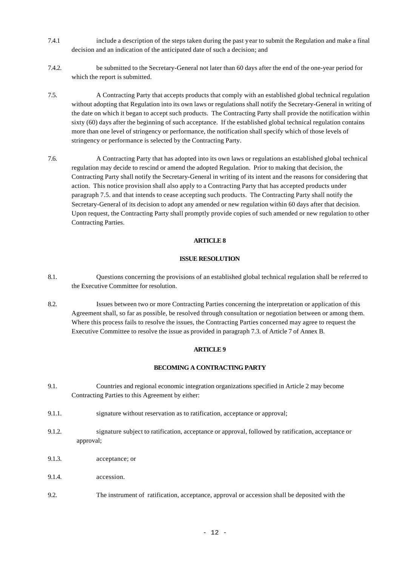- 7.4.1 include a description of the steps taken during the past year to submit the Regulation and make a final decision and an indication of the anticipated date of such a decision; and
- 7.4.2. be submitted to the Secretary-General not later than 60 days after the end of the one-year period for which the report is submitted.
- 7.5. A Contracting Party that accepts products that comply with an established global technical regulation without adopting that Regulation into its own laws or regulations shall notify the Secretary-General in writing of the date on which it began to accept such products. The Contracting Party shall provide the notification within sixty (60) days after the beginning of such acceptance. If the established global technical regulation contains more than one level of stringency or performance, the notification shall specify which of those levels of stringency or performance is selected by the Contracting Party.
- 7.6. A Contracting Party that has adopted into its own laws or regulations an established global technical regulation may decide to rescind or amend the adopted Regulation. Prior to making that decision, the Contracting Party shall notify the Secretary-General in writing of its intent and the reasons for considering that action. This notice provision shall also apply to a Contracting Party that has accepted products under paragraph 7.5. and that intends to cease accepting such products. The Contracting Party shall notify the Secretary-General of its decision to adopt any amended or new regulation within 60 days after that decision. Upon request, the Contracting Party shall promptly provide copies of such amended or new regulation to other Contracting Parties.

#### **ISSUE RESOLUTION**

- 8.1. Questions concerning the provisions of an established global technical regulation shall be referred to the Executive Committee for resolution.
- 8.2. Issues between two or more Contracting Parties concerning the interpretation or application of this Agreement shall, so far as possible, be resolved through consultation or negotiation between or among them. Where this process fails to resolve the issues, the Contracting Parties concerned may agree to request the Executive Committee to resolve the issue as provided in paragraph 7.3. of Article 7 of Annex B.

#### **ARTICLE 9**

## **BECOMING A CONTRACTING PARTY**

- 9.1. Countries and regional economic integration organizations specified in Article 2 may become Contracting Parties to this Agreement by either:
- 9.1.1. signature without reservation as to ratification, acceptance or approval;
- 9.1.2. signature subject to ratification, acceptance or approval, followed by ratification, acceptance or approval;
- 9.1.3. acceptance; or
- 9.1.4 accession
- 9.2. The instrument of ratification, acceptance, approval or accession shall be deposited with the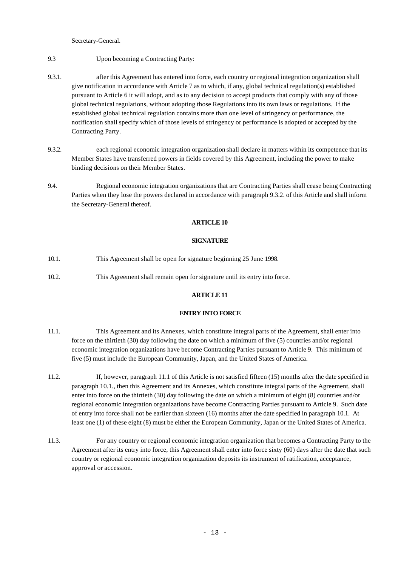Secretary-General.

- 9.3 Upon becoming a Contracting Party:
- 9.3.1. after this Agreement has entered into force, each country or regional integration organization shall give notification in accordance with Article 7 as to which, if any, global technical regulation(s) established pursuant to Article 6 it will adopt, and as to any decision to accept products that comply with any of those global technical regulations, without adopting those Regulations into its own laws or regulations. If the established global technical regulation contains more than one level of stringency or performance, the notification shall specify which of those levels of stringency or performance is adopted or accepted by the Contracting Party.
- 9.3.2. each regional economic integration organization shall declare in matters within its competence that its Member States have transferred powers in fields covered by this Agreement, including the power to make binding decisions on their Member States.
- 9.4. Regional economic integration organizations that are Contracting Parties shall cease being Contracting Parties when they lose the powers declared in accordance with paragraph 9.3.2. of this Article and shall inform the Secretary-General thereof.

#### **ARTICLE 10**

## **SIGNATURE**

- 10.1. This Agreement shall be open for signature beginning 25 June 1998.
- 10.2. This Agreement shall remain open for signature until its entry into force.

## **ARTICLE 11**

## **ENTRY INTO FORCE**

- 11.1. This Agreement and its Annexes, which constitute integral parts of the Agreement, shall enter into force on the thirtieth (30) day following the date on which a minimum of five (5) countries and/or regional economic integration organizations have become Contracting Parties pursuant to Article 9. This minimum of five (5) must include the European Community, Japan, and the United States of America.
- 11.2. If, however, paragraph 11.1 of this Article is not satisfied fifteen (15) months after the date specified in paragraph 10.1., then this Agreement and its Annexes, which constitute integral parts of the Agreement, shall enter into force on the thirtieth (30) day following the date on which a minimum of eight (8) countries and/or regional economic integration organizations have become Contracting Parties pursuant to Article 9. Such date of entry into force shall not be earlier than sixteen (16) months after the date specified in paragraph 10.1. At least one (1) of these eight (8) must be either the European Community, Japan or the United States of America.
- 11.3. For any country or regional economic integration organization that becomes a Contracting Party to the Agreement after its entry into force, this Agreement shall enter into force sixty (60) days after the date that such country or regional economic integration organization deposits its instrument of ratification, acceptance, approval or accession.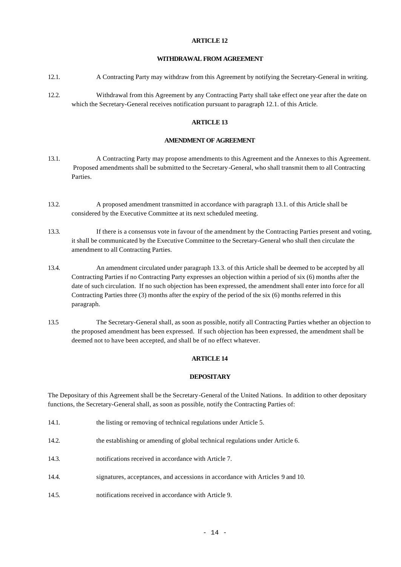#### **WITHDRAWAL FROM AGREEMENT**

- 12.1. A Contracting Party may withdraw from this Agreement by notifying the Secretary-General in writing.
- 12.2. Withdrawal from this Agreement by any Contracting Party shall take effect one year after the date on which the Secretary-General receives notification pursuant to paragraph 12.1. of this Article.

## **ARTICLE 13**

#### **AMENDMENT OF AGREEMENT**

- 13.1. A Contracting Party may propose amendments to this Agreement and the Annexes to this Agreement. Proposed amendments shall be submitted to the Secretary-General, who shall transmit them to all Contracting Parties.
- 13.2. A proposed amendment transmitted in accordance with paragraph 13.1. of this Article shall be considered by the Executive Committee at its next scheduled meeting.
- 13.3. If there is a consensus vote in favour of the amendment by the Contracting Parties present and voting, it shall be communicated by the Executive Committee to the Secretary-General who shall then circulate the amendment to all Contracting Parties.
- 13.4. An amendment circulated under paragraph 13.3. of this Article shall be deemed to be accepted by all Contracting Parties if no Contracting Party expresses an objection within a period of six (6) months after the date of such circulation. If no such objection has been expressed, the amendment shall enter into force for all Contracting Parties three (3) months after the expiry of the period of the six (6) months referred in this paragraph.
- 13.5 The Secretary-General shall, as soon as possible, notify all Contracting Parties whether an objection to the proposed amendment has been expressed. If such objection has been expressed, the amendment shall be deemed not to have been accepted, and shall be of no effect whatever.

#### **ARTICLE 14**

#### **DEPOSITARY**

The Depositary of this Agreement shall be the Secretary-General of the United Nations. In addition to other depositary functions, the Secretary-General shall, as soon as possible, notify the Contracting Parties of:

- 14.1. the listing or removing of technical regulations under Article 5.
- 14.2. the establishing or amending of global technical regulations under Article 6.
- 14.3. notifications received in accordance with Article 7.
- 14.4. signatures, acceptances, and accessions in accordance with Articles 9 and 10.
- 14.5. notifications received in accordance with Article 9.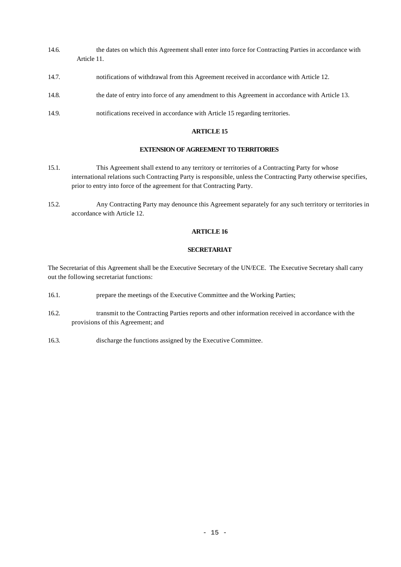- 14.6. the dates on which this Agreement shall enter into force for Contracting Parties in accordance with Article 11.
- 14.7. notifications of withdrawal from this Agreement received in accordance with Article 12.
- 14.8. the date of entry into force of any amendment to this Agreement in accordance with Article 13.
- 14.9. notifications received in accordance with Article 15 regarding territories.

#### **EXTENSION OF AGREEMENT TO TERRITORIES**

- 15.1. This Agreement shall extend to any territory or territories of a Contracting Party for whose international relations such Contracting Party is responsible, unless the Contracting Party otherwise specifies, prior to entry into force of the agreement for that Contracting Party.
- 15.2. Any Contracting Party may denounce this Agreement separately for any such territory or territories in accordance with Article 12.

#### **ARTICLE 16**

## **SECRETARIAT**

The Secretariat of this Agreement shall be the Executive Secretary of the UN/ECE. The Executive Secretary shall carry out the following secretariat functions:

- 16.1. prepare the meetings of the Executive Committee and the Working Parties;
- 16.2. transmit to the Contracting Parties reports and other information received in accordance with the provisions of this Agreement; and
- 16.3. discharge the functions assigned by the Executive Committee.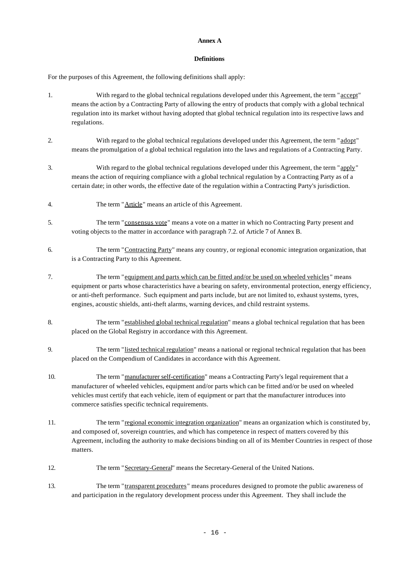#### **Annex A**

## **Definitions**

For the purposes of this Agreement, the following definitions shall apply:

- 1. With regard to the global technical regulations developed under this Agreement, the term "accept" means the action by a Contracting Party of allowing the entry of products that comply with a global technical regulation into its market without having adopted that global technical regulation into its respective laws and regulations.
- 2. With regard to the global technical regulations developed under this Agreement, the term "adopt" means the promulgation of a global technical regulation into the laws and regulations of a Contracting Party.
- 3. With regard to the global technical regulations developed under this Agreement, the term "apply" means the action of requiring compliance with a global technical regulation by a Contracting Party as of a certain date; in other words, the effective date of the regulation within a Contracting Party's jurisdiction.
- 4. The term "Article" means an article of this Agreement.
- 5. The term "consensus vote" means a vote on a matter in which no Contracting Party present and voting objects to the matter in accordance with paragraph 7.2. of Article 7 of Annex B.
- 6. The term "Contracting Party" means any country, or regional economic integration organization, that is a Contracting Party to this Agreement.
- 7. The term "equipment and parts which can be fitted and/or be used on wheeled vehicles" means equipment or parts whose characteristics have a bearing on safety, environmental protection, energy efficiency, or anti-theft performance. Such equipment and parts include, but are not limited to, exhaust systems, tyres, engines, acoustic shields, anti-theft alarms, warning devices, and child restraint systems.
- 8. The term "established global technical regulation" means a global technical regulation that has been placed on the Global Registry in accordance with this Agreement.
- 9. The term "listed technical regulation" means a national or regional technical regulation that has been placed on the Compendium of Candidates in accordance with this Agreement.
- 10. The term "manufacturer self-certification" means a Contracting Party's legal requirement that a manufacturer of wheeled vehicles, equipment and/or parts which can be fitted and/or be used on wheeled vehicles must certify that each vehicle, item of equipment or part that the manufacturer introduces into commerce satisfies specific technical requirements.
- 11. The term "regional economic integration organization" means an organization which is constituted by, and composed of, sovereign countries, and which has competence in respect of matters covered by this Agreement, including the authority to make decisions binding on all of its Member Countries in respect of those matters.
- 12. The term "Secretary-General" means the Secretary-General of the United Nations.
- 13. The term "transparent procedures" means procedures designed to promote the public awareness of and participation in the regulatory development process under this Agreement. They shall include the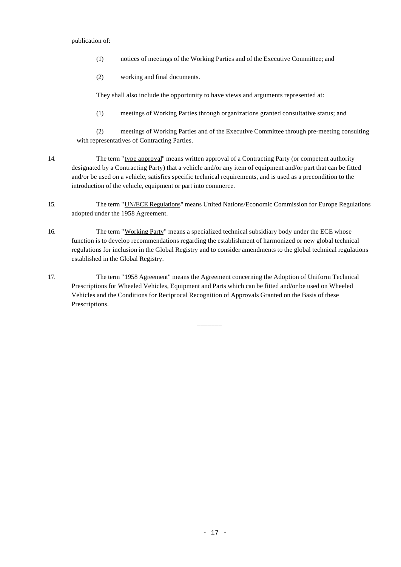publication of:

- (1) notices of meetings of the Working Parties and of the Executive Committee; and
- (2) working and final documents.

They shall also include the opportunity to have views and arguments represented at:

(1) meetings of Working Parties through organizations granted consultative status; and

(2) meetings of Working Parties and of the Executive Committee through pre-meeting consulting with representatives of Contracting Parties.

- 14. The term "type approval" means written approval of a Contracting Party (or competent authority designated by a Contracting Party) that a vehicle and/or any item of equipment and/or part that can be fitted and/or be used on a vehicle, satisfies specific technical requirements, and is used as a precondition to the introduction of the vehicle, equipment or part into commerce.
- 15. The term "UN/ECE Regulations" means United Nations/Economic Commission for Europe Regulations adopted under the 1958 Agreement.
- 16. The term "Working Party" means a specialized technical subsidiary body under the ECE whose function is to develop recommendations regarding the establishment of harmonized or new global technical regulations for inclusion in the Global Registry and to consider amendments to the global technical regulations established in the Global Registry.
- 17. The term "1958 Agreement" means the Agreement concerning the Adoption of Uniform Technical Prescriptions for Wheeled Vehicles, Equipment and Parts which can be fitted and/or be used on Wheeled Vehicles and the Conditions for Reciprocal Recognition of Approvals Granted on the Basis of these Prescriptions.

 $-$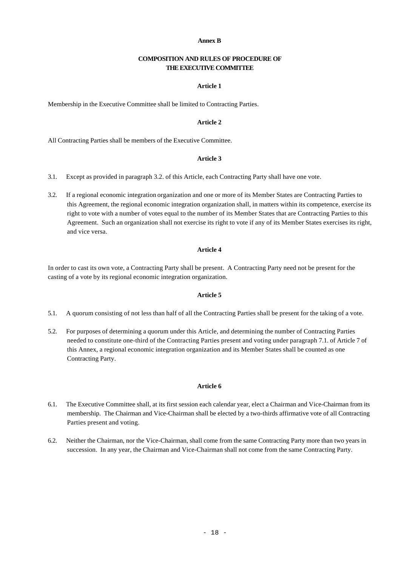#### **Annex B**

#### **COMPOSITION AND RULES OF PROCEDURE OF THE EXECUTIVE COMMITTEE**

## **Article 1**

Membership in the Executive Committee shall be limited to Contracting Parties.

## **Article 2**

All Contracting Parties shall be members of the Executive Committee.

#### **Article 3**

- 3.1. Except as provided in paragraph 3.2. of this Article, each Contracting Party shall have one vote.
- 3.2. If a regional economic integration organization and one or more of its Member States are Contracting Parties to this Agreement, the regional economic integration organization shall, in matters within its competence, exercise its right to vote with a number of votes equal to the number of its Member States that are Contracting Parties to this Agreement. Such an organization shall not exercise its right to vote if any of its Member States exercises its right, and vice versa.

#### **Article 4**

In order to cast its own vote, a Contracting Party shall be present. A Contracting Party need not be present for the casting of a vote by its regional economic integration organization.

## **Article 5**

- 5.1. A quorum consisting of not less than half of all the Contracting Parties shall be present for the taking of a vote.
- 5.2. For purposes of determining a quorum under this Article, and determining the number of Contracting Parties needed to constitute one-third of the Contracting Parties present and voting under paragraph 7.1. of Article 7 of this Annex, a regional economic integration organization and its Member States shall be counted as one Contracting Party.

#### **Article 6**

- 6.1. The Executive Committee shall, at its first session each calendar year, elect a Chairman and Vice-Chairman from its membership. The Chairman and Vice-Chairman shall be elected by a two-thirds affirmative vote of all Contracting Parties present and voting.
- 6.2. Neither the Chairman, nor the Vice-Chairman, shall come from the same Contracting Party more than two years in succession. In any year, the Chairman and Vice-Chairman shall not come from the same Contracting Party.